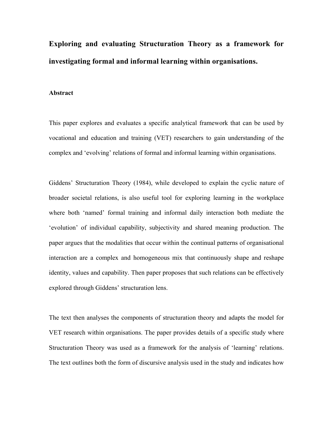**Exploring and evaluating Structuration Theory as a framework for investigating formal and informal learning within organisations.** 

### **Abstract**

This paper explores and evaluates a specific analytical framework that can be used by vocational and education and training (VET) researchers to gain understanding of the complex and 'evolving' relations of formal and informal learning within organisations.

Giddens' Structuration Theory (1984), while developed to explain the cyclic nature of broader societal relations, is also useful tool for exploring learning in the workplace where both 'named' formal training and informal daily interaction both mediate the 'evolution' of individual capability, subjectivity and shared meaning production. The paper argues that the modalities that occur within the continual patterns of organisational interaction are a complex and homogeneous mix that continuously shape and reshape identity, values and capability. Then paper proposes that such relations can be effectively explored through Giddens' structuration lens.

The text then analyses the components of structuration theory and adapts the model for VET research within organisations. The paper provides details of a specific study where Structuration Theory was used as a framework for the analysis of 'learning' relations. The text outlines both the form of discursive analysis used in the study and indicates how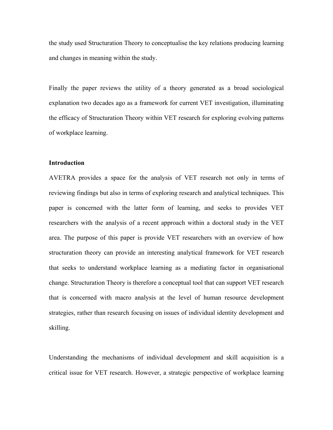the study used Structuration Theory to conceptualise the key relations producing learning and changes in meaning within the study.

Finally the paper reviews the utility of a theory generated as a broad sociological explanation two decades ago as a framework for current VET investigation, illuminating the efficacy of Structuration Theory within VET research for exploring evolving patterns of workplace learning.

# **Introduction**

AVETRA provides a space for the analysis of VET research not only in terms of reviewing findings but also in terms of exploring research and analytical techniques. This paper is concerned with the latter form of learning, and seeks to provides VET researchers with the analysis of a recent approach within a doctoral study in the VET area. The purpose of this paper is provide VET researchers with an overview of how structuration theory can provide an interesting analytical framework for VET research that seeks to understand workplace learning as a mediating factor in organisational change. Structuration Theory is therefore a conceptual tool that can support VET research that is concerned with macro analysis at the level of human resource development strategies, rather than research focusing on issues of individual identity development and skilling.

Understanding the mechanisms of individual development and skill acquisition is a critical issue for VET research. However, a strategic perspective of workplace learning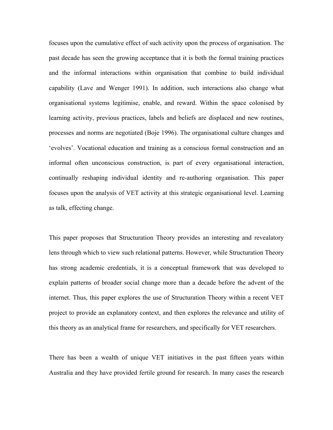focuses upon the cumulative effect of such activity upon the process of organisation. The past decade has seen the growing acceptance that it is both the formal training practices and the informal interactions within organisation that combine to build individual capability (Lave and Wenger 1991). In addition, such interactions also change what organisational systems legitimise, enable, and reward. Within the space colonised by learning activity, previous practices, labels and beliefs are displaced and new routines, processes and norms are negotiated (Boje 1996). The organisational culture changes and 'evolves'. Vocational education and training as a conscious formal construction and an informal often unconscious construction, is part of every organisational interaction, continually reshaping individual identity and re-authoring organisation. This paper focuses upon the analysis of VET activity at this strategic organisational level. Learning as talk, effecting change.

This paper proposes that Structuration Theory provides an interesting and revealatory lens through which to view such relational patterns. However, while Structuration Theory has strong academic credentials, it is a conceptual framework that was developed to explain patterns of broader social change more than a decade before the advent of the internet. Thus, this paper explores the use of Structuration Theory within a recent VET project to provide an explanatory context, and then explores the relevance and utility of this theory as an analytical frame for researchers, and specifically for VET researchers.

There has been a wealth of unique VET initiatives in the past fifteen years within Australia and they have provided fertile ground for research. In many cases the research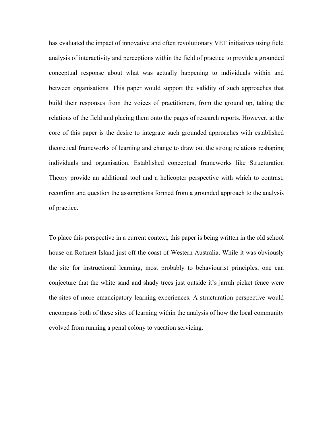has evaluated the impact of innovative and often revolutionary VET initiatives using field analysis of interactivity and perceptions within the field of practice to provide a grounded conceptual response about what was actually happening to individuals within and between organisations. This paper would support the validity of such approaches that build their responses from the voices of practitioners, from the ground up, taking the relations of the field and placing them onto the pages of research reports. However, at the core of this paper is the desire to integrate such grounded approaches with established theoretical frameworks of learning and change to draw out the strong relations reshaping individuals and organisation. Established conceptual frameworks like Structuration Theory provide an additional tool and a helicopter perspective with which to contrast, reconfirm and question the assumptions formed from a grounded approach to the analysis of practice.

To place this perspective in a current context, this paper is being written in the old school house on Rottnest Island just off the coast of Western Australia. While it was obviously the site for instructional learning, most probably to behaviourist principles, one can conjecture that the white sand and shady trees just outside it's jarrah picket fence were the sites of more emancipatory learning experiences. A structuration perspective would encompass both of these sites of learning within the analysis of how the local community evolved from running a penal colony to vacation servicing.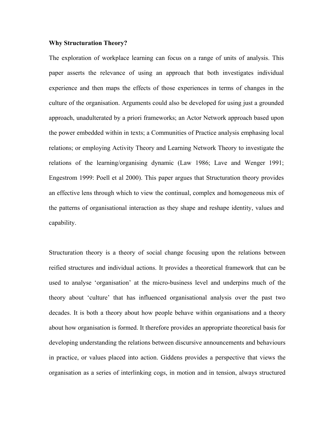# **Why Structuration Theory?**

The exploration of workplace learning can focus on a range of units of analysis. This paper asserts the relevance of using an approach that both investigates individual experience and then maps the effects of those experiences in terms of changes in the culture of the organisation. Arguments could also be developed for using just a grounded approach, unadulterated by a priori frameworks; an Actor Network approach based upon the power embedded within in texts; a Communities of Practice analysis emphasing local relations; or employing Activity Theory and Learning Network Theory to investigate the relations of the learning/organising dynamic (Law 1986; Lave and Wenger 1991; Engestrom 1999: Poell et al 2000). This paper argues that Structuration theory provides an effective lens through which to view the continual, complex and homogeneous mix of the patterns of organisational interaction as they shape and reshape identity, values and capability.

Structuration theory is a theory of social change focusing upon the relations between reified structures and individual actions. It provides a theoretical framework that can be used to analyse 'organisation' at the micro-business level and underpins much of the theory about 'culture' that has influenced organisational analysis over the past two decades. It is both a theory about how people behave within organisations and a theory about how organisation is formed. It therefore provides an appropriate theoretical basis for developing understanding the relations between discursive announcements and behaviours in practice, or values placed into action. Giddens provides a perspective that views the organisation as a series of interlinking cogs, in motion and in tension, always structured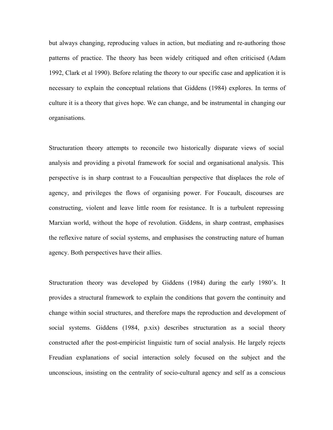but always changing, reproducing values in action, but mediating and re-authoring those patterns of practice. The theory has been widely critiqued and often criticised (Adam 1992, Clark et al 1990). Before relating the theory to our specific case and application it is necessary to explain the conceptual relations that Giddens (1984) explores. In terms of culture it is a theory that gives hope. We can change, and be instrumental in changing our organisations.

Structuration theory attempts to reconcile two historically disparate views of social analysis and providing a pivotal framework for social and organisational analysis. This perspective is in sharp contrast to a Foucaultian perspective that displaces the role of agency, and privileges the flows of organising power. For Foucault, discourses are constructing, violent and leave little room for resistance. It is a turbulent repressing Marxian world, without the hope of revolution. Giddens, in sharp contrast, emphasises the reflexive nature of social systems, and emphasises the constructing nature of human agency. Both perspectives have their allies.

Structuration theory was developed by Giddens (1984) during the early 1980's. It provides a structural framework to explain the conditions that govern the continuity and change within social structures, and therefore maps the reproduction and development of social systems. Giddens (1984, p.xix) describes structuration as a social theory constructed after the post-empiricist linguistic turn of social analysis. He largely rejects Freudian explanations of social interaction solely focused on the subject and the unconscious, insisting on the centrality of socio-cultural agency and self as a conscious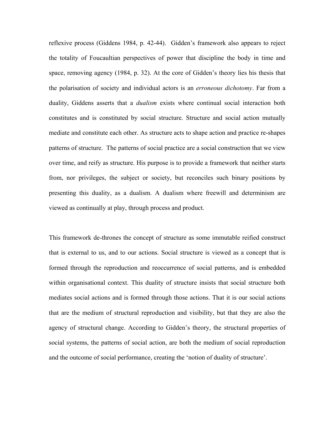reflexive process (Giddens 1984, p. 42-44). Gidden's framework also appears to reject the totality of Foucaultian perspectives of power that discipline the body in time and space, removing agency (1984, p. 32). At the core of Gidden's theory lies his thesis that the polarisation of society and individual actors is an *erroneous dichotomy*. Far from a duality, Giddens asserts that a *dualism* exists where continual social interaction both constitutes and is constituted by social structure. Structure and social action mutually mediate and constitute each other. As structure acts to shape action and practice re-shapes patterns of structure. The patterns of social practice are a social construction that we view over time, and reify as structure. His purpose is to provide a framework that neither starts from, nor privileges, the subject or society, but reconciles such binary positions by presenting this duality, as a dualism. A dualism where freewill and determinism are viewed as continually at play, through process and product.

This framework de-thrones the concept of structure as some immutable reified construct that is external to us, and to our actions. Social structure is viewed as a concept that is formed through the reproduction and reoccurrence of social patterns, and is embedded within organisational context. This duality of structure insists that social structure both mediates social actions and is formed through those actions. That it is our social actions that are the medium of structural reproduction and visibility, but that they are also the agency of structural change. According to Gidden's theory, the structural properties of social systems, the patterns of social action, are both the medium of social reproduction and the outcome of social performance, creating the 'notion of duality of structure'.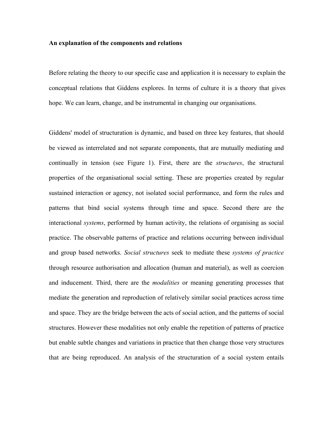### **An explanation of the components and relations**

Before relating the theory to our specific case and application it is necessary to explain the conceptual relations that Giddens explores. In terms of culture it is a theory that gives hope. We can learn, change, and be instrumental in changing our organisations.

Giddens' model of structuration is dynamic, and based on three key features, that should be viewed as interrelated and not separate components, that are mutually mediating and continually in tension (see Figure 1). First, there are the *structures*, the structural properties of the organisational social setting. These are properties created by regular sustained interaction or agency, not isolated social performance, and form the rules and patterns that bind social systems through time and space. Second there are the interactional *systems*, performed by human activity, the relations of organising as social practice. The observable patterns of practice and relations occurring between individual and group based networks. *Social structures* seek to mediate these *systems of practice* through resource authorisation and allocation (human and material), as well as coercion and inducement. Third, there are the *modalities* or meaning generating processes that mediate the generation and reproduction of relatively similar social practices across time and space. They are the bridge between the acts of social action, and the patterns of social structures. However these modalities not only enable the repetition of patterns of practice but enable subtle changes and variations in practice that then change those very structures that are being reproduced. An analysis of the structuration of a social system entails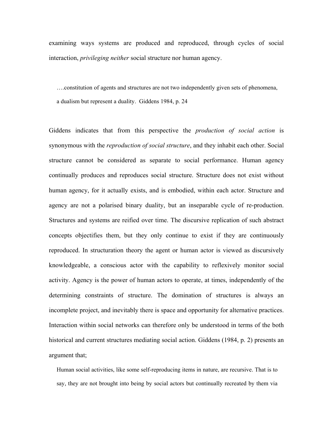examining ways systems are produced and reproduced, through cycles of social interaction, *privileging neither* social structure nor human agency.

….constitution of agents and structures are not two independently given sets of phenomena, a dualism but represent a duality. Giddens 1984, p. 24

Giddens indicates that from this perspective the *production of social action* is synonymous with the *reproduction of social structure*, and they inhabit each other. Social structure cannot be considered as separate to social performance. Human agency continually produces and reproduces social structure. Structure does not exist without human agency, for it actually exists, and is embodied, within each actor. Structure and agency are not a polarised binary duality, but an inseparable cycle of re-production. Structures and systems are reified over time. The discursive replication of such abstract concepts objectifies them, but they only continue to exist if they are continuously reproduced. In structuration theory the agent or human actor is viewed as discursively knowledgeable, a conscious actor with the capability to reflexively monitor social activity. Agency is the power of human actors to operate, at times, independently of the determining constraints of structure. The domination of structures is always an incomplete project, and inevitably there is space and opportunity for alternative practices. Interaction within social networks can therefore only be understood in terms of the both historical and current structures mediating social action. Giddens (1984, p. 2) presents an argument that;

Human social activities, like some self-reproducing items in nature, are recursive. That is to say, they are not brought into being by social actors but continually recreated by them via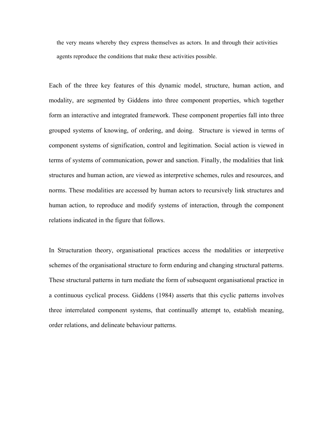the very means whereby they express themselves as actors. In and through their activities agents reproduce the conditions that make these activities possible.

Each of the three key features of this dynamic model, structure, human action, and modality, are segmented by Giddens into three component properties, which together form an interactive and integrated framework. These component properties fall into three grouped systems of knowing, of ordering, and doing. Structure is viewed in terms of component systems of signification, control and legitimation. Social action is viewed in terms of systems of communication, power and sanction. Finally, the modalities that link structures and human action, are viewed as interpretive schemes, rules and resources, and norms. These modalities are accessed by human actors to recursively link structures and human action, to reproduce and modify systems of interaction, through the component relations indicated in the figure that follows.

In Structuration theory, organisational practices access the modalities or interpretive schemes of the organisational structure to form enduring and changing structural patterns. These structural patterns in turn mediate the form of subsequent organisational practice in a continuous cyclical process. Giddens (1984) asserts that this cyclic patterns involves three interrelated component systems, that continually attempt to, establish meaning, order relations, and delineate behaviour patterns.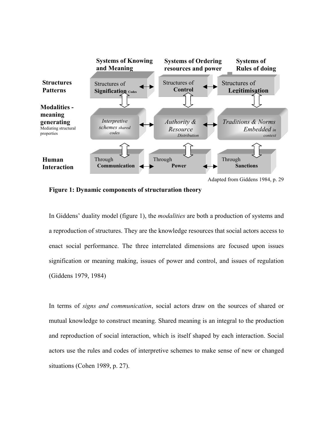

**Figure 1: Dynamic components of structuration theory** 

In Giddens' duality model (figure 1), the *modalities* are both a production of systems and a reproduction of structures. They are the knowledge resources that social actors access to enact social performance. The three interrelated dimensions are focused upon issues signification or meaning making, issues of power and control, and issues of regulation (Giddens 1979, 1984)

In terms of *signs and communication*, social actors draw on the sources of shared or mutual knowledge to construct meaning. Shared meaning is an integral to the production and reproduction of social interaction, which is itself shaped by each interaction. Social actors use the rules and codes of interpretive schemes to make sense of new or changed situations (Cohen 1989, p. 27).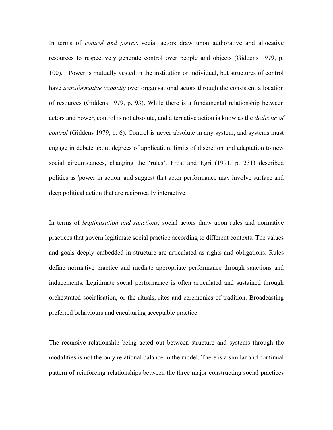In terms of *control and power*, social actors draw upon authorative and allocative resources to respectively generate control over people and objects (Giddens 1979, p. 100). Power is mutually vested in the institution or individual, but structures of control have *transformative capacity* over organisational actors through the consistent allocation of resources (Giddens 1979, p. 93). While there is a fundamental relationship between actors and power, control is not absolute, and alternative action is know as the *dialectic of control* (Giddens 1979, p. 6). Control is never absolute in any system, and systems must engage in debate about degrees of application, limits of discretion and adaptation to new social circumstances, changing the 'rules'. Frost and Egri (1991, p. 231) described politics as 'power in action' and suggest that actor performance may involve surface and deep political action that are reciprocally interactive.

In terms of *legitimisation and sanctions*, social actors draw upon rules and normative practices that govern legitimate social practice according to different contexts. The values and goals deeply embedded in structure are articulated as rights and obligations. Rules define normative practice and mediate appropriate performance through sanctions and inducements. Legitimate social performance is often articulated and sustained through orchestrated socialisation, or the rituals, rites and ceremonies of tradition. Broadcasting preferred behaviours and enculturing acceptable practice.

The recursive relationship being acted out between structure and systems through the modalities is not the only relational balance in the model. There is a similar and continual pattern of reinforcing relationships between the three major constructing social practices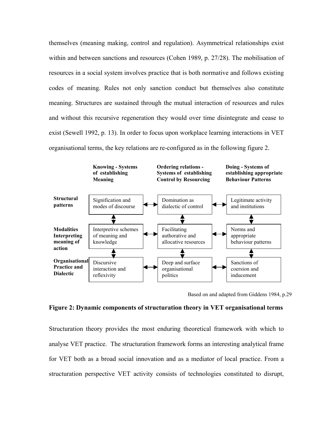themselves (meaning making, control and regulation). Asymmetrical relationships exist within and between sanctions and resources (Cohen 1989, p. 27/28). The mobilisation of resources in a social system involves practice that is both normative and follows existing codes of meaning. Rules not only sanction conduct but themselves also constitute meaning. Structures are sustained through the mutual interaction of resources and rules and without this recursive regeneration they would over time disintegrate and cease to exist (Sewell 1992, p. 13). In order to focus upon workplace learning interactions in VET organisational terms, the key relations are re-configured as in the following figure 2.



Based on and adapted from Giddens 1984, p.29

### **Figure 2: Dynamic components of structuration theory in VET organisational terms**

Structuration theory provides the most enduring theoretical framework with which to analyse VET practice. The structuration framework forms an interesting analytical frame for VET both as a broad social innovation and as a mediator of local practice. From a structuration perspective VET activity consists of technologies constituted to disrupt,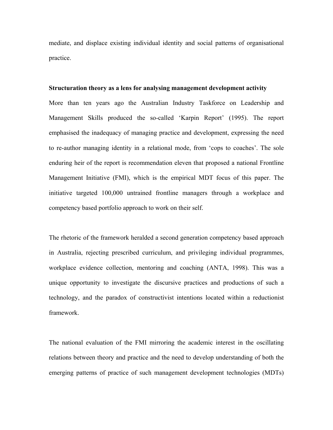mediate, and displace existing individual identity and social patterns of organisational practice.

#### **Structuration theory as a lens for analysing management development activity**

More than ten years ago the Australian Industry Taskforce on Leadership and Management Skills produced the so-called 'Karpin Report' (1995). The report emphasised the inadequacy of managing practice and development, expressing the need to re-author managing identity in a relational mode, from 'cops to coaches'. The sole enduring heir of the report is recommendation eleven that proposed a national Frontline Management Initiative (FMI), which is the empirical MDT focus of this paper. The initiative targeted 100,000 untrained frontline managers through a workplace and competency based portfolio approach to work on their self.

The rhetoric of the framework heralded a second generation competency based approach in Australia, rejecting prescribed curriculum, and privileging individual programmes, workplace evidence collection, mentoring and coaching (ANTA, 1998). This was a unique opportunity to investigate the discursive practices and productions of such a technology, and the paradox of constructivist intentions located within a reductionist framework.

The national evaluation of the FMI mirroring the academic interest in the oscillating relations between theory and practice and the need to develop understanding of both the emerging patterns of practice of such management development technologies (MDTs)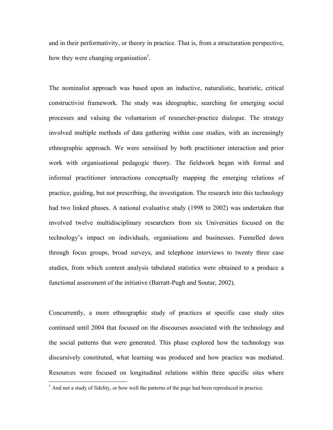and in their performativity, or theory in practice. That is, from a structuration perspective, how they were changing organisation<sup>1</sup>.

The nominalist approach was based upon an inductive, naturalistic, heuristic, critical constructivist framework. The study was ideographic, searching for emerging social processes and valuing the voluntarism of researcher-practice dialogue. The strategy involved multiple methods of data gathering within case studies, with an increasingly ethnographic approach. We were sensitised by both practitioner interaction and prior work with organisational pedagogic theory. The fieldwork began with formal and informal practitioner interactions conceptually mapping the emerging relations of practice, guiding, but not prescribing, the investigation. The research into this technology had two linked phases. A national evaluative study (1998 to 2002) was undertaken that involved twelve multidisciplinary researchers from six Universities focused on the technology's impact on individuals, organisations and businesses. Funnelled down through focus groups, broad surveys, and telephone interviews to twenty three case studies, from which content analysis tabulated statistics were obtained to a produce a functional assessment of the initiative (Barratt-Pugh and Soutar, 2002).

Concurrently, a more ethnographic study of practices at specific case study sites continued until 2004 that focused on the discourses associated with the technology and the social patterns that were generated. This phase explored how the technology was discursively constituted, what learning was produced and how practice was mediated. Resources were focused on longitudinal relations within three specific sites where

<sup>&</sup>lt;sup>1</sup> And not a study of fidelity, or how well the patterns of the page had been reproduced in practice.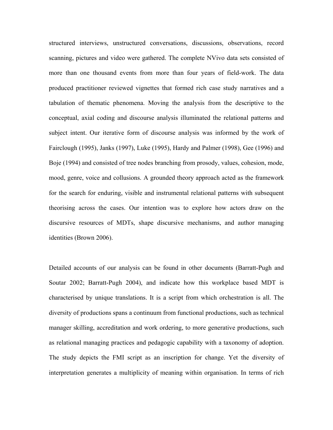structured interviews, unstructured conversations, discussions, observations, record scanning, pictures and video were gathered. The complete NVivo data sets consisted of more than one thousand events from more than four years of field-work. The data produced practitioner reviewed vignettes that formed rich case study narratives and a tabulation of thematic phenomena. Moving the analysis from the descriptive to the conceptual, axial coding and discourse analysis illuminated the relational patterns and subject intent. Our iterative form of discourse analysis was informed by the work of Fairclough (1995), Janks (1997), Luke (1995), Hardy and Palmer (1998), Gee (1996) and Boje (1994) and consisted of tree nodes branching from prosody, values, cohesion, mode, mood, genre, voice and collusions. A grounded theory approach acted as the framework for the search for enduring, visible and instrumental relational patterns with subsequent theorising across the cases. Our intention was to explore how actors draw on the discursive resources of MDTs, shape discursive mechanisms, and author managing identities (Brown 2006).

Detailed accounts of our analysis can be found in other documents (Barratt-Pugh and Soutar 2002; Barratt-Pugh 2004), and indicate how this workplace based MDT is characterised by unique translations. It is a script from which orchestration is all. The diversity of productions spans a continuum from functional productions, such as technical manager skilling, accreditation and work ordering, to more generative productions, such as relational managing practices and pedagogic capability with a taxonomy of adoption. The study depicts the FMI script as an inscription for change. Yet the diversity of interpretation generates a multiplicity of meaning within organisation. In terms of rich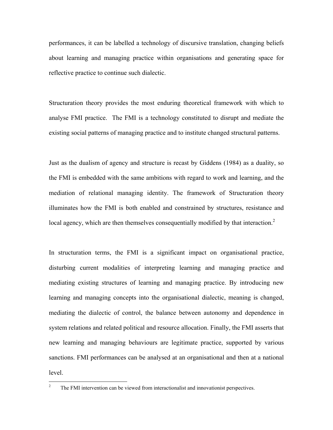performances, it can be labelled a technology of discursive translation, changing beliefs about learning and managing practice within organisations and generating space for reflective practice to continue such dialectic.

Structuration theory provides the most enduring theoretical framework with which to analyse FMI practice. The FMI is a technology constituted to disrupt and mediate the existing social patterns of managing practice and to institute changed structural patterns.

Just as the dualism of agency and structure is recast by Giddens (1984) as a duality, so the FMI is embedded with the same ambitions with regard to work and learning, and the mediation of relational managing identity. The framework of Structuration theory illuminates how the FMI is both enabled and constrained by structures, resistance and local agency, which are then themselves consequentially modified by that interaction.<sup>2</sup>

In structuration terms, the FMI is a significant impact on organisational practice, disturbing current modalities of interpreting learning and managing practice and mediating existing structures of learning and managing practice. By introducing new learning and managing concepts into the organisational dialectic, meaning is changed, mediating the dialectic of control, the balance between autonomy and dependence in system relations and related political and resource allocation. Finally, the FMI asserts that new learning and managing behaviours are legitimate practice, supported by various sanctions. FMI performances can be analysed at an organisational and then at a national level.

 $\frac{1}{2}$ The FMI intervention can be viewed from interactionalist and innovationist perspectives.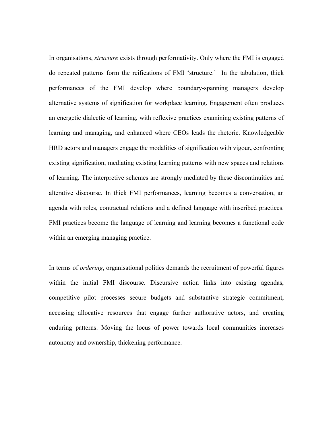In organisations, *structure* exists through performativity. Only where the FMI is engaged do repeated patterns form the reifications of FMI 'structure.' In the tabulation, thick performances of the FMI develop where boundary-spanning managers develop alternative systems of signification for workplace learning. Engagement often produces an energetic dialectic of learning, with reflexive practices examining existing patterns of learning and managing, and enhanced where CEOs leads the rhetoric. Knowledgeable HRD actors and managers engage the modalities of signification with vigour**,** confronting existing signification, mediating existing learning patterns with new spaces and relations of learning. The interpretive schemes are strongly mediated by these discontinuities and alterative discourse. In thick FMI performances, learning becomes a conversation, an agenda with roles, contractual relations and a defined language with inscribed practices. FMI practices become the language of learning and learning becomes a functional code within an emerging managing practice.

In terms of *ordering*, organisational politics demands the recruitment of powerful figures within the initial FMI discourse. Discursive action links into existing agendas, competitive pilot processes secure budgets and substantive strategic commitment, accessing allocative resources that engage further authorative actors, and creating enduring patterns. Moving the locus of power towards local communities increases autonomy and ownership, thickening performance.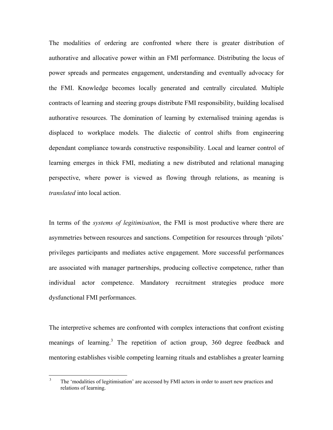The modalities of ordering are confronted where there is greater distribution of authorative and allocative power within an FMI performance. Distributing the locus of power spreads and permeates engagement, understanding and eventually advocacy for the FMI. Knowledge becomes locally generated and centrally circulated. Multiple contracts of learning and steering groups distribute FMI responsibility, building localised authorative resources. The domination of learning by externalised training agendas is displaced to workplace models. The dialectic of control shifts from engineering dependant compliance towards constructive responsibility. Local and learner control of learning emerges in thick FMI, mediating a new distributed and relational managing perspective, where power is viewed as flowing through relations, as meaning is *translated* into local action.

In terms of the *systems of legitimisation*, the FMI is most productive where there are asymmetries between resources and sanctions. Competition for resources through 'pilots' privileges participants and mediates active engagement. More successful performances are associated with manager partnerships, producing collective competence, rather than individual actor competence. Mandatory recruitment strategies produce more dysfunctional FMI performances.

The interpretive schemes are confronted with complex interactions that confront existing meanings of learning.<sup>3</sup> The repetition of action group, 360 degree feedback and mentoring establishes visible competing learning rituals and establishes a greater learning

 3 The 'modalities of legitimisation' are accessed by FMI actors in order to assert new practices and relations of learning.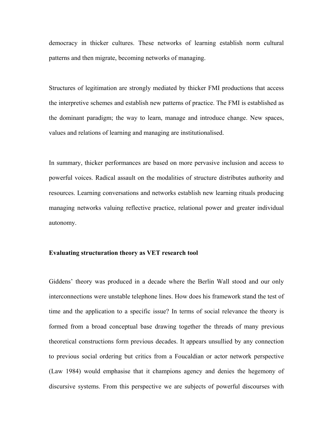democracy in thicker cultures. These networks of learning establish norm cultural patterns and then migrate, becoming networks of managing.

Structures of legitimation are strongly mediated by thicker FMI productions that access the interpretive schemes and establish new patterns of practice. The FMI is established as the dominant paradigm; the way to learn, manage and introduce change. New spaces, values and relations of learning and managing are institutionalised.

In summary, thicker performances are based on more pervasive inclusion and access to powerful voices. Radical assault on the modalities of structure distributes authority and resources. Learning conversations and networks establish new learning rituals producing managing networks valuing reflective practice, relational power and greater individual autonomy.

# **Evaluating structuration theory as VET research tool**

Giddens' theory was produced in a decade where the Berlin Wall stood and our only interconnections were unstable telephone lines. How does his framework stand the test of time and the application to a specific issue? In terms of social relevance the theory is formed from a broad conceptual base drawing together the threads of many previous theoretical constructions form previous decades. It appears unsullied by any connection to previous social ordering but critics from a Foucaldian or actor network perspective (Law 1984) would emphasise that it champions agency and denies the hegemony of discursive systems. From this perspective we are subjects of powerful discourses with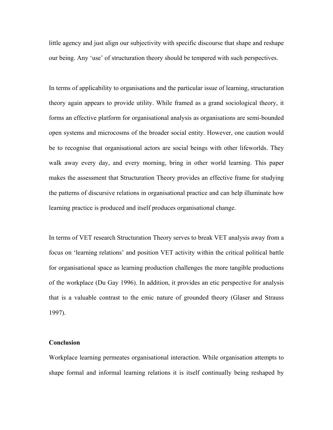little agency and just align our subjectivity with specific discourse that shape and reshape our being. Any 'use' of structuration theory should be tempered with such perspectives.

In terms of applicability to organisations and the particular issue of learning, structuration theory again appears to provide utility. While framed as a grand sociological theory, it forms an effective platform for organisational analysis as organisations are semi-bounded open systems and microcosms of the broader social entity. However, one caution would be to recognise that organisational actors are social beings with other lifeworlds. They walk away every day, and every morning, bring in other world learning. This paper makes the assessment that Structuration Theory provides an effective frame for studying the patterns of discursive relations in organisational practice and can help illuminate how learning practice is produced and itself produces organisational change.

In terms of VET research Structuration Theory serves to break VET analysis away from a focus on 'learning relations' and position VET activity within the critical political battle for organisational space as learning production challenges the more tangible productions of the workplace (Du Gay 1996). In addition, it provides an etic perspective for analysis that is a valuable contrast to the emic nature of grounded theory (Glaser and Strauss 1997).

# **Conclusion**

Workplace learning permeates organisational interaction. While organisation attempts to shape formal and informal learning relations it is itself continually being reshaped by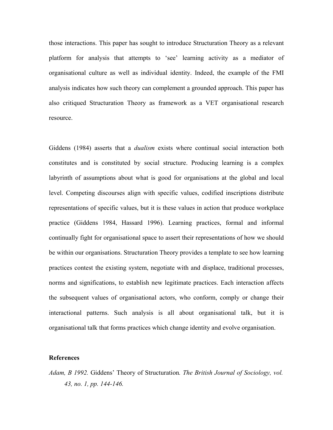those interactions. This paper has sought to introduce Structuration Theory as a relevant platform for analysis that attempts to 'see' learning activity as a mediator of organisational culture as well as individual identity. Indeed, the example of the FMI analysis indicates how such theory can complement a grounded approach. This paper has also critiqued Structuration Theory as framework as a VET organisational research resource.

Giddens (1984) asserts that a *dualism* exists where continual social interaction both constitutes and is constituted by social structure. Producing learning is a complex labyrinth of assumptions about what is good for organisations at the global and local level. Competing discourses align with specific values, codified inscriptions distribute representations of specific values, but it is these values in action that produce workplace practice (Giddens 1984, Hassard 1996). Learning practices, formal and informal continually fight for organisational space to assert their representations of how we should be within our organisations. Structuration Theory provides a template to see how learning practices contest the existing system, negotiate with and displace, traditional processes, norms and significations, to establish new legitimate practices. Each interaction affects the subsequent values of organisational actors, who conform, comply or change their interactional patterns. Such analysis is all about organisational talk, but it is organisational talk that forms practices which change identity and evolve organisation.

### **References**

*Adam, B 1992.* Giddens' Theory of Structuration*. The British Journal of Sociology, vol. 43, no. 1, pp. 144-146.*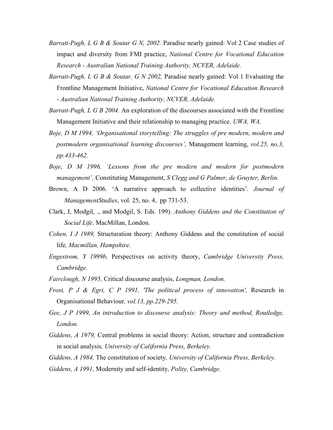- *Barratt-Pugh, L G B & Soutar G N, 2002.* Paradise nearly gained: Vol 2 Case studies of impact and diversity from FMI practice, *National Centre for Vocational Education Research - Australian National Training Authority, NCVER, Adelaide.*
- *Barratt-Pugh, L G B & Soutar, G N 2002,* Paradise nearly gained: Vol 1 Evaluating the Frontline Management Initiative, *National Centre for Vocational Education Research - Australian National Training Authority, NCVER, Adelaide.*
- *Barratt-Pugh, L G B 2004.* An exploration of the discourses associated with the Frontline Management Initiative and their relationship to managing practice. *UWA, WA.*
- *Boje, D M 1994, 'Organisational storytelling: The struggles of pre modern, modern and postmodern organisational learning discourses',* Management learning, *vol.25, no.3, pp.433-462.*
- *Boje, D M 1996, 'Lessons from the pre modern and modern for postmodern management',* Constituting Management, *S Clegg and G Palmer, de Gruyter, Berlin.*
- Brown, A D 2006. 'A narrative approach to collective identities'. *Journal of ManagementStudies*, vol. 25, no. 4, pp 731-53.
- Clark, J, Modgil, ., and Modgil, S. Eds. 199). *Anthony Giddens and the Constitution of Social Life*. MacMillan, London.
- *Cohen, I J 1989,* Structuration theory: Anthony Giddens and the constitution of social life*, Macmillan, Hampshire.*
- *Engestrom, Y 1999b,* Perspectives on activity theory, *Cambridge University Press, Cambridge.*
- *Fairclough, N 1995,* Critical discourse analysis, *Longman, London.*
- *Frost, P J & Egri, C P 1991, 'The political process of innovation',* Research in Organisational Behaviour*, vol.13, pp.229-295.*
- *Gee, J P 1999, An introduction to discourse analysis: Theory and method, Routledge, London.*
- *Giddens, A 1979,* Central problems in social theory: Action, structure and contradiction in social analysis*, University of California Press, Berkeley.*

*Giddens, A 1984,* The constitution of society*, University of California Press, Berkeley. Giddens, A 1991,* Modernity and self-identity*, Polity, Cambridge.*